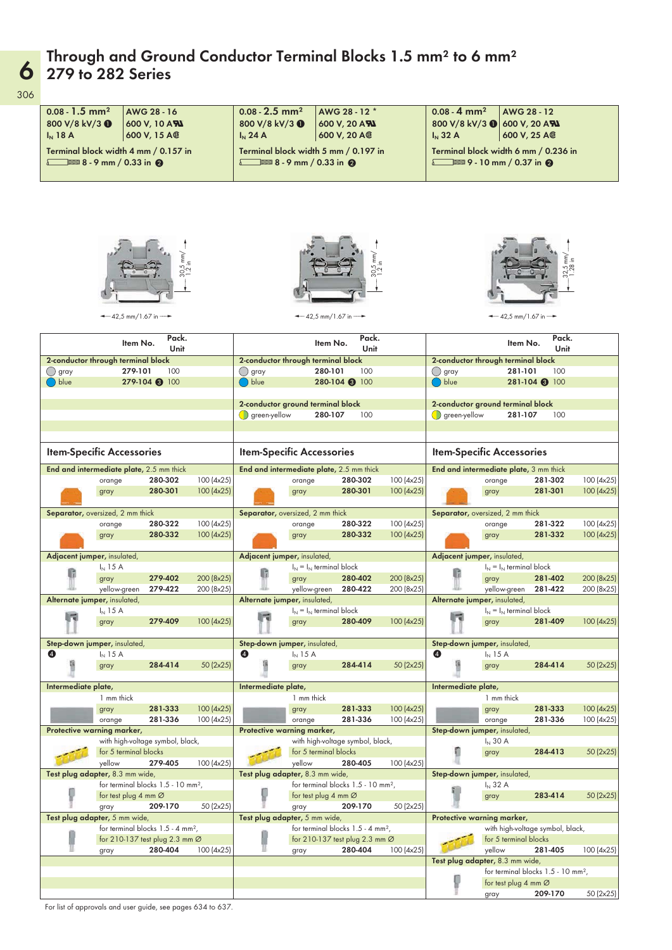### Through and Ground Conductor Terminal Blocks 1.5 mm $^{\rm 2}$  to 6 mm $^{\rm 2}$ 279 to 282 Series

| $0.08 - 1.5$ mm <sup>2</sup>             |                    | AWG 28 - 16                                     |                        | $0.08 - 2.5$ mm <sup>2</sup>                 |                                  | AWG 28 - 12 *                                  |                        | $0.08 - 4$ mm <sup>2</sup>       |                                                            | AWG 28 - 12                                    |                          |
|------------------------------------------|--------------------|-------------------------------------------------|------------------------|----------------------------------------------|----------------------------------|------------------------------------------------|------------------------|----------------------------------|------------------------------------------------------------|------------------------------------------------|--------------------------|
| 800 V/8 kV/3 0                           |                    | 600 V, 10 AN                                    |                        | 800 V/8 kV/3 0                               |                                  | 600 V, 20 AN                                   |                        | 800 V/8 kV/3 0                   |                                                            | 600 V, 20 AN                                   |                          |
| $I_N$ 18 A                               |                    | 600 V, 15 A®                                    |                        | $I_N$ 24 A                                   |                                  | 600 V, 20 A®                                   |                        | $I_N$ 32 A                       |                                                            | 600 V, 25 A@                                   |                          |
| Terminal block width 4 mm / 0.157 in     |                    |                                                 |                        | Terminal block width 5 mm / 0.197 in         |                                  |                                                |                        |                                  |                                                            | Terminal block width 6 mm / 0.236 in           |                          |
| $8 - 9$ mm / 0.33 in $\odot$             |                    |                                                 |                        | $8 - 9$ mm / 0.33 in 2                       |                                  |                                                |                        |                                  | $6 = 9 - 10$ mm / 0.37 in $\odot$                          |                                                |                          |
|                                          |                    |                                                 |                        |                                              |                                  |                                                |                        |                                  |                                                            |                                                |                          |
|                                          |                    | $-42,5$ mm/1.67 in $-$                          | Pack.                  |                                              | $-42,5$ mm/1.67 in $-$           | Pack.                                          |                        |                                  |                                                            | $-42,5$ mm/1.67 in $-$<br>Pack.                |                          |
|                                          |                    | Item No.                                        | Unit                   |                                              | Item No.                         | Unit                                           |                        |                                  |                                                            | Item No.<br>Unit                               |                          |
| 2-conductor through terminal block       |                    |                                                 |                        | 2-conductor through terminal block           |                                  |                                                |                        |                                  | 2-conductor through terminal block                         |                                                |                          |
| ∪ gray<br>blue (                         |                    | 279-101<br>279-104 3 100                        | 100                    | ( ) gray<br>( ) blue                         | 280-101                          | 100<br>280-104 3 100                           |                        | ( ) gray<br>( ) blue             |                                                            | 281-101<br>100<br>281-104 3 100                |                          |
|                                          |                    |                                                 |                        |                                              |                                  |                                                |                        |                                  |                                                            |                                                |                          |
|                                          |                    |                                                 |                        | 2-conductor ground terminal block            |                                  |                                                |                        |                                  | 2-conductor ground terminal block                          |                                                |                          |
|                                          |                    |                                                 |                        | $\bigcirc$ green-yellow                      | 280-107                          | 100                                            |                        | $\bigcirc$ green-yellow          |                                                            | 281-107<br>100                                 |                          |
|                                          |                    |                                                 |                        |                                              |                                  |                                                |                        |                                  |                                                            |                                                |                          |
| <b>Item-Specific Accessories</b>         |                    |                                                 |                        | <b>Item-Specific Accessories</b>             |                                  |                                                |                        | <b>Item-Specific Accessories</b> |                                                            |                                                |                          |
| End and intermediate plate, 2.5 mm thick |                    |                                                 |                        | End and intermediate plate, 2.5 mm thick     |                                  |                                                |                        |                                  |                                                            | End and intermediate plate, 3 mm thick         |                          |
|                                          | orange             | 280-302<br>280-301                              | 100(4x25)<br>100(4x25) |                                              | orange                           | 280-302<br>280-301                             | 100(4x25)<br>100(4x25) |                                  | orange                                                     | 281-302<br>281-301                             | 100 (4x25)<br>100 (4x25) |
|                                          | gray               |                                                 |                        | gray                                         |                                  |                                                |                        |                                  | gray                                                       |                                                |                          |
| Separator, oversized, 2 mm thick         |                    |                                                 |                        | Separator, oversized, 2 mm thick             |                                  |                                                |                        |                                  | Separator, oversized, 2 mm thick                           |                                                |                          |
|                                          | orange             | 280-322                                         | 100 (4x25)             |                                              | orange                           | 280-322                                        | 100(4x25)              |                                  | orange                                                     | 281-322                                        | 100 (4x25)               |
|                                          | gray               | 280-332                                         | 100(4x25)              | gray                                         |                                  | 280-332                                        | 100(4x25)              |                                  | gray                                                       | 281-332                                        | 100 (4x25)               |
| Adjacent jumper, insulated,              |                    |                                                 |                        | Adjacent jumper, insulated,                  |                                  |                                                |                        |                                  | Adjacent jumper, insulated,                                |                                                |                          |
|                                          | $I_N$ 15 A         |                                                 |                        |                                              | $I_N = I_N$ terminal block       |                                                |                        |                                  | $I_N = I_N$ terminal block                                 |                                                |                          |
|                                          | gray               | 279-402                                         | 200 (8x25)             | gray                                         |                                  | 280-402                                        | 200 (8x25)             |                                  | gray                                                       | 281-402                                        | 200 (8x25)               |
|                                          | yellow-green       | 279-422                                         | 200 (8x25)             |                                              | yellow-green                     | 280-422                                        | 200 (8x25)             |                                  | yellow-green                                               | 281-422                                        | 200 (8x25)               |
| Alternate jumper, insulated,             | $I_{N}$ 15 A       |                                                 |                        | Alternate jumper, insulated,                 | $I_N = I_N$ terminal block       |                                                |                        |                                  | Alternate jumper, insulated,<br>$I_N = I_N$ terminal block |                                                |                          |
|                                          | gray               | 279-409                                         | 100(4x25)              | gray                                         |                                  | 280-409                                        | 100(4x25)              |                                  | gray                                                       | 281-409                                        | 100 (4x25)               |
|                                          |                    |                                                 |                        |                                              |                                  |                                                |                        |                                  |                                                            |                                                |                          |
| Step-down jumper, insulated,<br>❹        | $I_N$ 15 A         |                                                 |                        | Step-down jumper, insulated,<br>$\mathbf{A}$ | $I_N$ 15 A                       |                                                |                        | ❹                                | Step-down jumper, insulated,<br>$I_{N}$ 15 A               |                                                |                          |
|                                          | gray               | 284-414                                         | 50 (2x25)              | gray                                         |                                  | 284-414                                        | 50 (2x25)              |                                  | gray                                                       | 284-414                                        | 50 (2x25)                |
|                                          |                    |                                                 |                        |                                              |                                  |                                                |                        |                                  |                                                            |                                                |                          |
| Intermediate plate,                      |                    |                                                 |                        | Intermediate plate,                          |                                  |                                                |                        | Intermediate plate,              |                                                            |                                                |                          |
|                                          | 1 mm thick<br>gray | 281-333                                         | 100(4x25)              | gray                                         | 1 mm thick                       | 281-333                                        | 100(4x25)              |                                  | 1 mm thick<br>gray                                         | 281-333                                        | 100 (4x25)               |
|                                          | orange             | 281-336                                         | 100(4x25)              |                                              | orange                           | 281-336                                        | 100(4x25)              |                                  | orange                                                     | 281-336                                        | 100 (4x25)               |
| Protective warning marker,               |                    |                                                 |                        | Protective warning marker,                   |                                  |                                                |                        |                                  | Step-down jumper, insulated,                               |                                                |                          |
|                                          |                    | with high-voltage symbol, black,                |                        |                                              |                                  | with high-voltage symbol, black,               |                        |                                  | $I_N$ 30 A                                                 |                                                |                          |
|                                          | yellow             | for 5 terminal blocks<br>279-405                | 100(4x25)              |                                              | for 5 terminal blocks<br>yellow  | 280-405                                        | 100(4x25)              |                                  | gray                                                       | 284-413                                        | 50 (2x25)                |
| Test plug adapter, 8.3 mm wide,          |                    |                                                 |                        | Test plug adapter, 8.3 mm wide,              |                                  |                                                |                        |                                  | Step-down jumper, insulated,                               |                                                |                          |
|                                          |                    | for terminal blocks 1.5 - 10 mm <sup>2</sup> ,  |                        |                                              |                                  | for terminal blocks 1.5 - 10 mm <sup>2</sup> , |                        |                                  | $I_N$ 32 A                                                 |                                                |                          |
|                                          |                    | for test plug 4 mm Ø                            |                        |                                              | for test plug 4 mm $\varnothing$ |                                                |                        |                                  | gray                                                       | 283-414                                        | 50 (2x25)                |
| Test plug adapter, 5 mm wide,            | gray               | 209-170                                         | 50 (2x25)              | gray<br>Test plug adapter, 5 mm wide,        |                                  | 209-170                                        | 50 (2x25)              |                                  | Protective warning marker,                                 |                                                |                          |
|                                          |                    | for terminal blocks $1.5 - 4$ mm <sup>2</sup> , |                        |                                              |                                  | for terminal blocks 1.5 - 4 mm <sup>2</sup> ,  |                        |                                  |                                                            | with high-voltage symbol, black,               |                          |
|                                          |                    | for 210-137 test plug 2.3 mm $\varnothing$      |                        |                                              |                                  | for 210-137 test plug 2.3 mm $\varnothing$     |                        |                                  | for 5 terminal blocks                                      |                                                |                          |
|                                          | gray               | 280-404                                         | 100(4x25)              | gray                                         |                                  | 280-404                                        | 100 (4x25)             |                                  | yellow                                                     | 281-405                                        | 100 (4x25)               |
|                                          |                    |                                                 |                        |                                              |                                  |                                                |                        |                                  | Test plug adapter, 8.3 mm wide,                            |                                                |                          |
|                                          |                    |                                                 |                        |                                              |                                  |                                                |                        |                                  | for test plug 4 mm $\varnothing$                           | for terminal blocks 1.5 - 10 mm <sup>2</sup> , |                          |
|                                          |                    |                                                 |                        |                                              |                                  |                                                |                        |                                  | arav                                                       | 209-170                                        | 50 (2x25)                |

gray 209-170 50 (2x25)

306

6

For list of approvals and user guide, see pages 634 to 637.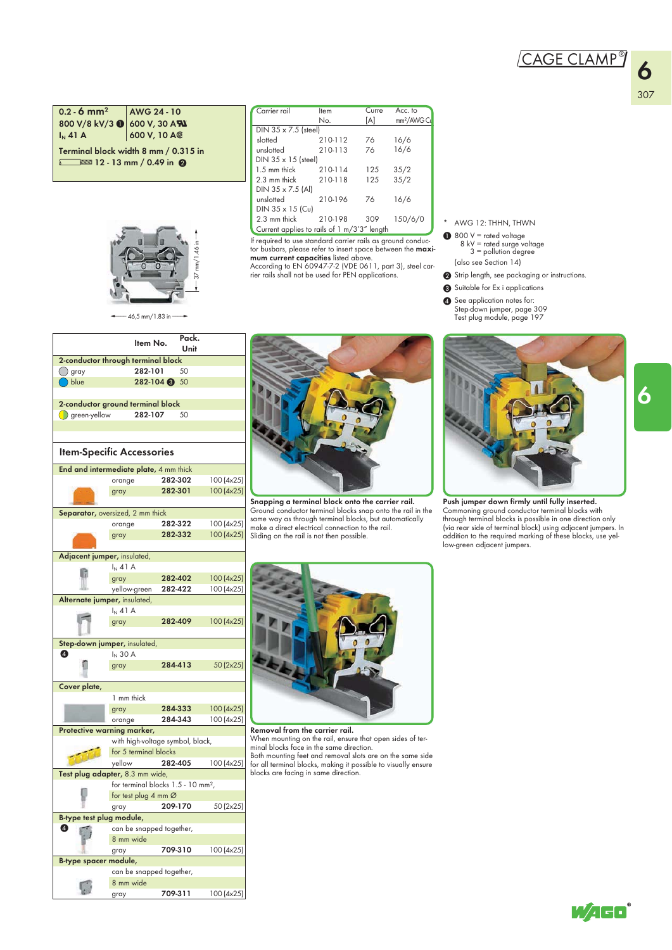# "

6

#### $0.2 - 6$  mm<sup>2</sup> AWG 24 - 10 800 V/8 kV/3  $\bigcirc$  600 V, 30 AN  $I_N$  41 A 600 V, 10 A  $\circ$ Terminal block width 8 mm / 0.315 in

 $\sqrt{2}$  12 - 13 mm / 0.49 in  $\odot$ 



| Carrier rail                                | Item    | Curre | Acc. to                 |
|---------------------------------------------|---------|-------|-------------------------|
|                                             | No.     | [A]   | mm <sup>2</sup> /AWG Cu |
| DIN $35 \times 7.5$ (steel)                 |         |       |                         |
| slotted                                     | 210-112 | 76    | 16/6                    |
| unslotted                                   | 210-113 | 76    | 16/6                    |
| $DIN 35 \times 15$ (steel)                  |         |       |                         |
| 1.5 mm thick                                | 210-114 | 125   | 35/2                    |
| 2.3 mm thick                                | 210-118 | 125   | 35/2                    |
| DIN 35 x 7.5 (Al)                           |         |       |                         |
| unslotted                                   | 210-196 | 76    | 16/6                    |
| DIN $35 \times 15$ (Cu)                     |         |       |                         |
| 2.3 mm thick                                | 210-198 | 309   | 150/6/0                 |
| Current applies to rails of 1 m/3'3" length |         |       |                         |

If required to use standard carrier rails as ground conductor busbars, please refer to insert space between the maxi-

**mum current capacities** listed above.<br>According to EN 60947-7-2 (VDE 0611, part 3), steel car-<br>rier rails shall not be used for PEN applications.

- AWG 12: THHN, THWN
- 800 V = rated voltage 8 kV = rated surge voltage 3 = pollution degree  $\bf{0}$
- (also see Section 14)
- 2 Strip length, see packaging or instructions.
- <sup>3</sup> Suitable for Ex i applications
- **4** See application notes for: Step-down jumper, page 309 Test plug module, page 197

|                               | $-46,5$ mm/1.83 in $-$                                    |            |               |            |  |  |  |
|-------------------------------|-----------------------------------------------------------|------------|---------------|------------|--|--|--|
|                               | Item No.                                                  |            | Pack.<br>Unit |            |  |  |  |
|                               | 2-conductor through terminal block                        |            |               |            |  |  |  |
| ◯ gray                        | 282-101                                                   |            | 50            |            |  |  |  |
| ( ) blue                      |                                                           | 282-104 30 |               |            |  |  |  |
|                               |                                                           |            |               |            |  |  |  |
|                               | 2-conductor ground terminal block                         |            |               |            |  |  |  |
| $\left( \right)$ green-yellow | 282-107                                                   |            | - 50          |            |  |  |  |
|                               |                                                           |            |               |            |  |  |  |
|                               |                                                           |            |               |            |  |  |  |
|                               | <b>Item-Specific Accessories</b>                          |            |               |            |  |  |  |
|                               | End and intermediate plate, 4 mm thick                    |            |               |            |  |  |  |
|                               | orange                                                    | 282-302    |               | 100 (4x25) |  |  |  |
|                               | gray                                                      |            | 282-301       | 100 (4x25) |  |  |  |
|                               |                                                           |            |               |            |  |  |  |
|                               | Separator, oversized, 2 mm thick                          |            |               |            |  |  |  |
|                               | orange                                                    |            | 282-322       | 100 (4x25) |  |  |  |
|                               | gray                                                      |            | 282-332       | 100(4x25)  |  |  |  |
|                               |                                                           |            |               |            |  |  |  |
| Adjacent jumper, insulated,   |                                                           |            |               |            |  |  |  |
|                               | $I_N$ 41 A                                                |            |               |            |  |  |  |
| G                             | gray                                                      |            | 282-402       | 100 (4x25) |  |  |  |
|                               | yellow-green                                              |            | 282-422       | 100 (4x25) |  |  |  |
| Alternate jumper, insulated,  |                                                           |            |               |            |  |  |  |
|                               | $I_N$ 41 A                                                |            |               |            |  |  |  |
|                               | gray                                                      |            | 282-409       | 100(4x25)  |  |  |  |
|                               |                                                           |            |               |            |  |  |  |
|                               | Step-down jumper, insulated,                              |            |               |            |  |  |  |
| ❹                             | $I_N$ 30 A                                                |            |               |            |  |  |  |
|                               | gray                                                      |            | 284-413       | 50 (2x25)  |  |  |  |
|                               |                                                           |            |               |            |  |  |  |
| Cover plate,                  |                                                           |            |               |            |  |  |  |
|                               | 1 mm thick                                                |            |               |            |  |  |  |
|                               | gray                                                      |            | 284-333       | 100 (4x25) |  |  |  |
|                               | orange                                                    |            | 284-343       | 100 (4x25) |  |  |  |
|                               | Protective warning marker,                                |            |               |            |  |  |  |
|                               | with high-voltage symbol, black,<br>for 5 terminal blocks |            |               |            |  |  |  |
|                               | yellow                                                    |            |               |            |  |  |  |
|                               | Test plug adapter, 8.3 mm wide,                           | 282-405    |               | 100 (4x25) |  |  |  |
|                               | for terminal blocks 1.5 - 10 mm <sup>2</sup> ,            |            |               |            |  |  |  |
|                               | for test plug 4 mm Ø                                      |            |               |            |  |  |  |
|                               | gray                                                      |            | 209-170       | 50 (2x25)  |  |  |  |
| B-type test plug module,      |                                                           |            |               |            |  |  |  |
| ❹                             |                                                           |            |               |            |  |  |  |
|                               | can be snapped together,<br>8 mm wide                     |            |               |            |  |  |  |
|                               | gray                                                      | 709-310    |               | 100 (4x25) |  |  |  |
| B-type spacer module,         |                                                           |            |               |            |  |  |  |
|                               | can be snapped together,                                  |            |               |            |  |  |  |

8 mm wide

G

gray 709-311 100 (4x25)



Snapping a terminal block onto the carrier rail. Ground conductor terminal blocks snap onto the rail in the same way as through terminal blocks, but automatically make a direct electrical connection to the rail. Sliding on the rail is not then possible.



Push jumper down firmly until fully inserted. Commoning ground conductor terminal blocks with through terminal blocks is possible in one direction only (via rear side of terminal block) using adjacent jumpers. In addition to the required marking of these blocks, use yel-low-green adjacent jumpers.



Removal from the carrier rail. When mounting on the rail, ensure that open sides of terminal blocks face in the same direction.

Both mounting feet and removal slots are on the same side for all terminal blocks, making it possible to visually ensure blocks are facing in same direction.

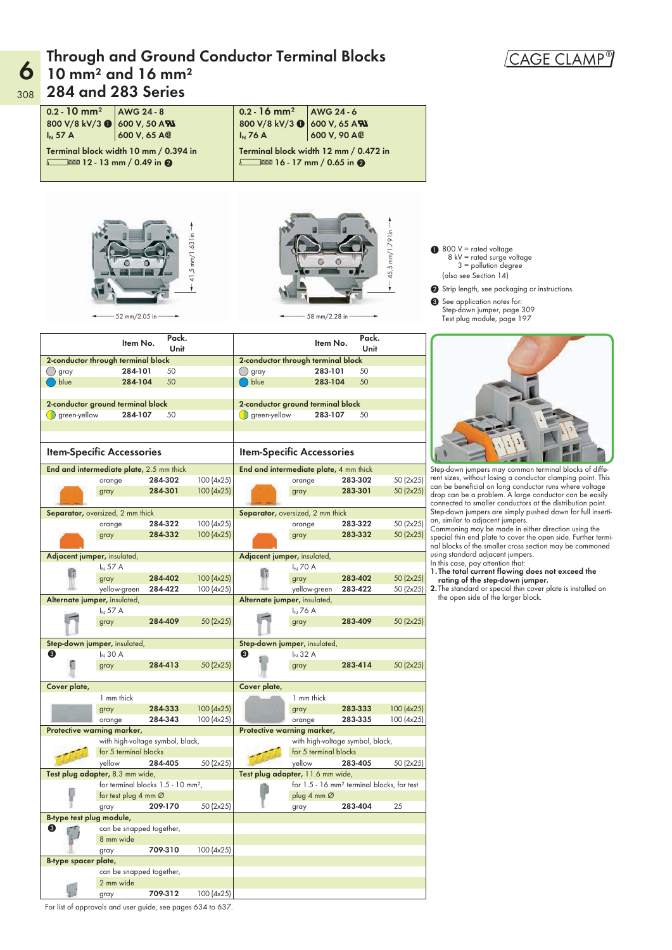#### $6$  10 mm<sup>2</sup> and 16 mm<sup>2</sup> Through and Ground Conductor Terminal Blocks 284 and 283 Series





gray 709-312 100 (4x25) For list of approvals and user guide, see pages 634 to 637.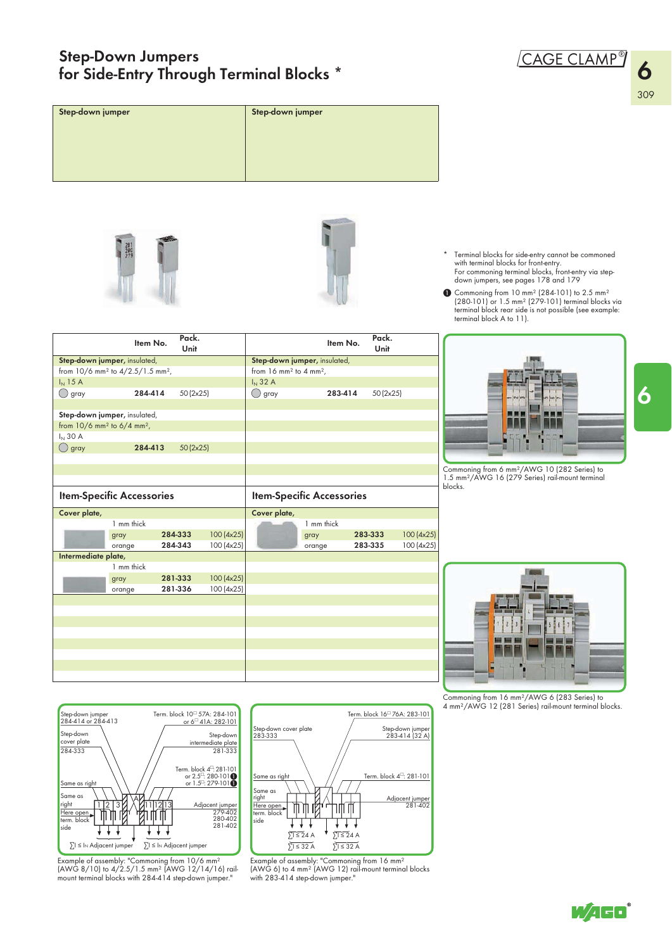#### Step-Down Jumpers for Side-Entry Through Terminal Blocks \* "



6



Example of assembly: "Commoning from 10/6 mm²<br>(AWG 8/10) to 4/2.5/1.5 mm² (AWG 12/14/16) rail-<br>mount terminal blocks with 284-414 step-down jumper."

∑I ≤ IN Adjacent jumper

J,

∑I ≤ IN Adjacent jumper



WAGO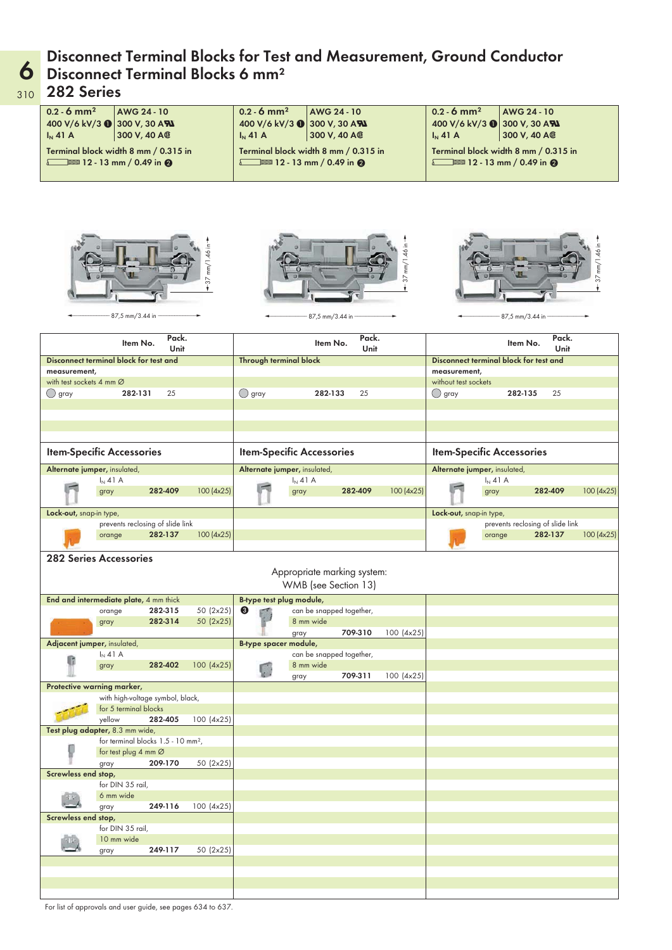## **6** Disconnect Terminal Blocks 6 mm<sup>2</sup> Disconnect Terminal Blocks for Test and Measurement, Ground Conductor

#### 310 282 Series

| $0.2 - 6$ mm <sup>2</sup><br>$I_N$ 41 A  | AWG 24 - 10<br>400 V/6 kV/3 1 300 V, 30 AN<br>300 V, 40 A@<br>Terminal block width 8 mm / 0.315 in<br>$\sqrt{2}$ 12 - 13 mm / 0.49 in $\odot$ |                  | $0.2 - 6$ mm <sup>2</sup><br>$I_N$ 41 A | AWG 24 - 10<br>400 V/6 kV/3 0 300 V, 30 AN<br>300 V, 40 A®<br>Terminal block width 8 mm / 0.315 in<br>12 - 13 mm / 0.49 in $\odot$ |               |               | $0.2 - 6$ mm <sup>2</sup><br>$I_N$ 41 A | 400 V/6 kV/3 (300 V, 30 AN<br>Terminal block width 8 mm / 0.315 in<br>$12 - 13$ mm / 0.49 in $\odot$ | AWG 24 - 10<br>300 V, 40 A®                 |               |
|------------------------------------------|-----------------------------------------------------------------------------------------------------------------------------------------------|------------------|-----------------------------------------|------------------------------------------------------------------------------------------------------------------------------------|---------------|---------------|-----------------------------------------|------------------------------------------------------------------------------------------------------|---------------------------------------------|---------------|
|                                          |                                                                                                                                               |                  |                                         |                                                                                                                                    |               |               |                                         |                                                                                                      |                                             |               |
|                                          | 87,5 mm/3.44 in                                                                                                                               | $-37$ mm/1.46 in |                                         | 87,5 mm/3.44 in                                                                                                                    |               | 37 mm/1.46 in |                                         | 87,5 mm/3.44 in                                                                                      |                                             | 37 mm/1.46 in |
|                                          | Pack.<br>Item No.<br>Unit                                                                                                                     |                  |                                         | Item No.                                                                                                                           | Pack.<br>Unit |               |                                         | Item No.                                                                                             | Pack.<br><b>Unit</b>                        |               |
|                                          | Disconnect terminal block for test and                                                                                                        |                  | Through terminal block                  |                                                                                                                                    |               |               |                                         | Disconnect terminal block for test and                                                               |                                             |               |
| measurement,<br>with test sockets 4 mm Ø |                                                                                                                                               |                  |                                         |                                                                                                                                    |               |               | measurement,<br>without test sockets    |                                                                                                      |                                             |               |
| ◯ gray                                   | 282-131<br>25                                                                                                                                 |                  | $\bigcirc$ gray                         | 282-133                                                                                                                            | 25            |               | ◯ gray                                  | 282-135                                                                                              | 25                                          |               |
|                                          |                                                                                                                                               |                  |                                         |                                                                                                                                    |               |               |                                         |                                                                                                      |                                             |               |
|                                          |                                                                                                                                               |                  |                                         |                                                                                                                                    |               |               |                                         |                                                                                                      |                                             |               |
|                                          |                                                                                                                                               |                  |                                         |                                                                                                                                    |               |               |                                         |                                                                                                      |                                             |               |
|                                          | <b>Item-Specific Accessories</b>                                                                                                              |                  | <b>Item-Specific Accessories</b>        |                                                                                                                                    |               |               |                                         | <b>Item-Specific Accessories</b>                                                                     |                                             |               |
|                                          | Alternate jumper, insulated,                                                                                                                  |                  |                                         | Alternate jumper, insulated,                                                                                                       |               |               |                                         | Alternate jumper, insulated,                                                                         |                                             |               |
|                                          | $I_N$ 41 A<br>282-409<br>gray                                                                                                                 | 100(4x25)        |                                         | $I_N$ 41 A<br>gray                                                                                                                 | 282-409       | 100(4x25)     |                                         | $I_N$ 41 A<br>gray                                                                                   | 282-409                                     | 100(4x25)     |
|                                          |                                                                                                                                               |                  |                                         |                                                                                                                                    |               |               |                                         |                                                                                                      |                                             |               |
| Lock-out, snap-in type,                  |                                                                                                                                               |                  |                                         |                                                                                                                                    |               |               | Lock-out, snap-in type,                 |                                                                                                      |                                             |               |
|                                          | prevents reclosing of slide link<br>282-137<br>orange                                                                                         | 100(4x25)        |                                         |                                                                                                                                    |               |               |                                         | orange                                                                                               | prevents reclosing of slide link<br>282-137 | 100(4x25)     |
|                                          |                                                                                                                                               |                  |                                         |                                                                                                                                    |               |               |                                         |                                                                                                      |                                             |               |
|                                          | <b>282 Series Accessories</b>                                                                                                                 |                  |                                         | Appropriate marking system:                                                                                                        |               |               |                                         |                                                                                                      |                                             |               |
|                                          |                                                                                                                                               |                  |                                         | WMB (see Section 13)                                                                                                               |               |               |                                         |                                                                                                      |                                             |               |
|                                          | End and intermediate plate, 4 mm thick<br>282-315<br>orange                                                                                   | 50 (2x25)        | B-type test plug module,<br>❸           | can be snapped together,                                                                                                           |               |               |                                         |                                                                                                      |                                             |               |
|                                          | 282-314<br>gray                                                                                                                               | 50 (2x25)        |                                         | 8 mm wide                                                                                                                          |               |               |                                         |                                                                                                      |                                             |               |
|                                          | Adjacent jumper, insulated,                                                                                                                   |                  |                                         | gray                                                                                                                               | 709-310       | 100 (4x25)    |                                         |                                                                                                      |                                             |               |
|                                          | $I_N$ 41 A                                                                                                                                    |                  | B-type spacer module,                   | can be snapped together,                                                                                                           |               |               |                                         |                                                                                                      |                                             |               |
|                                          | 282-402<br>gray                                                                                                                               | 100 (4x25)       | B                                       | 8 mm wide                                                                                                                          |               |               |                                         |                                                                                                      |                                             |               |
|                                          | Protective warning marker,                                                                                                                    |                  |                                         | gray                                                                                                                               | 709-311       | 100 (4x25)    |                                         |                                                                                                      |                                             |               |
|                                          | with high-voltage symbol, black,                                                                                                              |                  |                                         |                                                                                                                                    |               |               |                                         |                                                                                                      |                                             |               |
|                                          | for 5 terminal blocks                                                                                                                         |                  |                                         |                                                                                                                                    |               |               |                                         |                                                                                                      |                                             |               |
|                                          | yellow<br>282-405<br>Test plug adapter, 8.3 mm wide,                                                                                          | 100 (4x25)       |                                         |                                                                                                                                    |               |               |                                         |                                                                                                      |                                             |               |
|                                          | for terminal blocks 1.5 - 10 mm <sup>2</sup> ,                                                                                                |                  |                                         |                                                                                                                                    |               |               |                                         |                                                                                                      |                                             |               |
|                                          | for test plug 4 mm $\varnothing$                                                                                                              |                  |                                         |                                                                                                                                    |               |               |                                         |                                                                                                      |                                             |               |
| Screwless end stop,                      | 209-170<br>gray                                                                                                                               | 50 (2x25)        |                                         |                                                                                                                                    |               |               |                                         |                                                                                                      |                                             |               |
|                                          | for DIN 35 rail,                                                                                                                              |                  |                                         |                                                                                                                                    |               |               |                                         |                                                                                                      |                                             |               |
|                                          | 6 mm wide                                                                                                                                     |                  |                                         |                                                                                                                                    |               |               |                                         |                                                                                                      |                                             |               |
| Screwless end stop,                      | 249-116<br>gray                                                                                                                               | 100 (4x25)       |                                         |                                                                                                                                    |               |               |                                         |                                                                                                      |                                             |               |
|                                          | for DIN 35 rail,                                                                                                                              |                  |                                         |                                                                                                                                    |               |               |                                         |                                                                                                      |                                             |               |
|                                          | 10 mm wide<br>249-117<br>gray                                                                                                                 | 50 (2x25)        |                                         |                                                                                                                                    |               |               |                                         |                                                                                                      |                                             |               |
|                                          |                                                                                                                                               |                  |                                         |                                                                                                                                    |               |               |                                         |                                                                                                      |                                             |               |
|                                          |                                                                                                                                               |                  |                                         |                                                                                                                                    |               |               |                                         |                                                                                                      |                                             |               |

For list of approvals and user guide, see pages 634 to 637.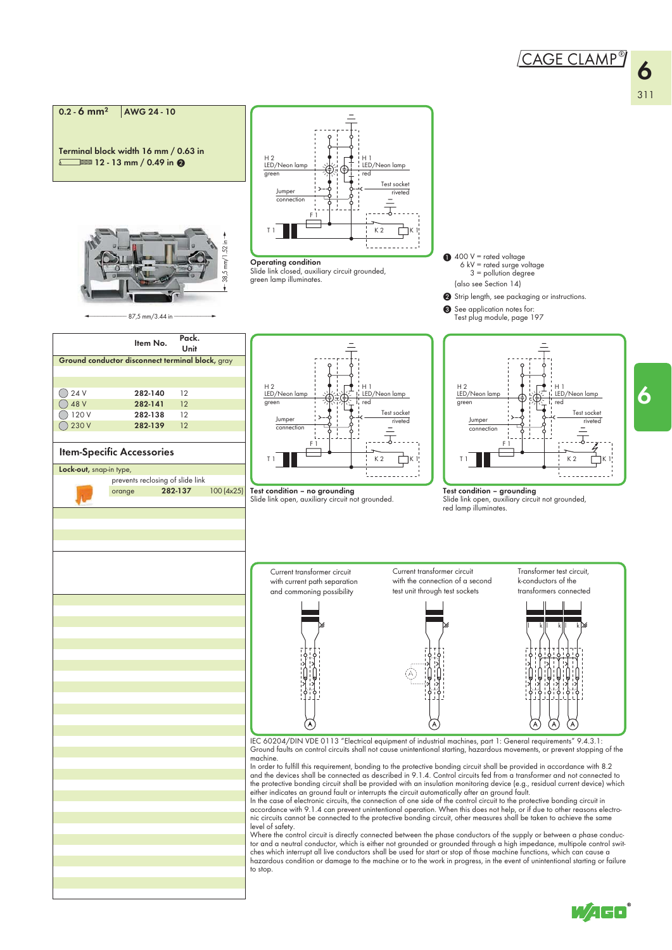6

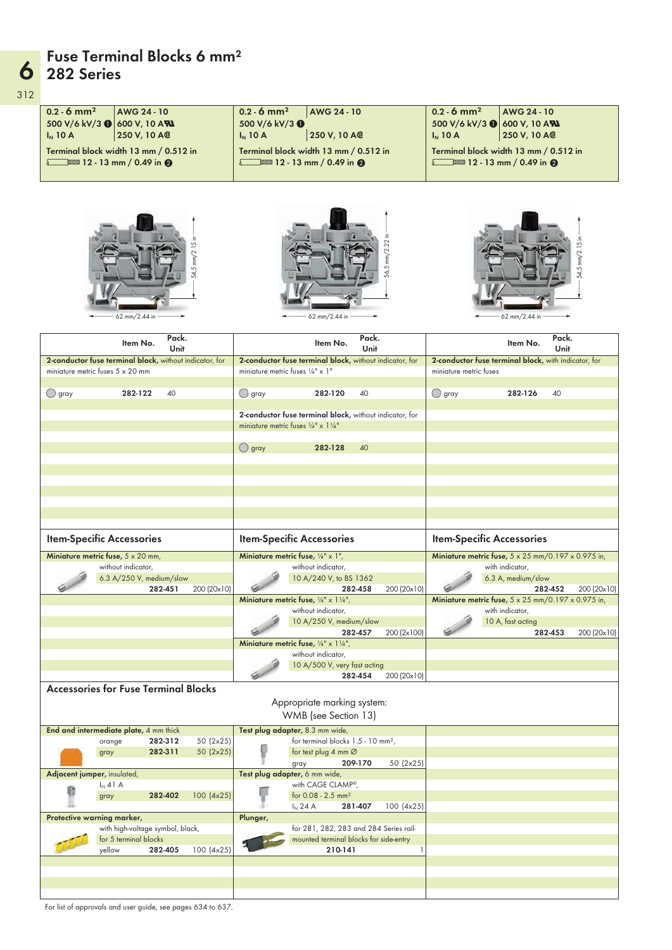## 6 282 Series Fuse Terminal Blocks 6 mm<sup>2</sup>

312

| $0.2 - 6$ mm <sup>2</sup><br>AWG 24 - 10<br>500 V/6 kV/3 (600 V, 10 AN<br>250 V, 10 A®<br>$I_N$ 10 A<br>Terminal block width 13 mm / 0.512 in<br>12 - 13 mm / 0.49 in $\odot$ | $0.2 - 6$ mm <sup>2</sup><br>AWG 24 - 10<br>500 V/6 kV/3 0<br>250 V, 10 A®<br>$I_N$ 10 A<br>Terminal block width 13 mm / 0.512 in<br>$12 - 13$ mm / 0.49 in $\odot$ | $0.2 - 6$ mm <sup>2</sup><br>AWG 24 - 10<br>500 V/6 kV/3 (8) 600 V, 10 AN<br>250 V, 10 A®<br>$I_N$ 10 A<br>Terminal block width 13 mm / 0.512 in<br>12 - 13 mm / 0.49 in $\odot$ |
|-------------------------------------------------------------------------------------------------------------------------------------------------------------------------------|---------------------------------------------------------------------------------------------------------------------------------------------------------------------|----------------------------------------------------------------------------------------------------------------------------------------------------------------------------------|
| mm/2.15<br>54,5<br>62 mm/2.44 in                                                                                                                                              | mm/2.22<br>56,5<br>62 mm/2.44 in                                                                                                                                    | 54,5 mm/2.15<br>62 mm/2.44 in                                                                                                                                                    |
| Pack.<br>Item No.<br>Unit                                                                                                                                                     | Pack.<br>Item No.<br>Unit                                                                                                                                           | Pack.<br>Item No.<br>Unit                                                                                                                                                        |
| 2-conductor fuse terminal block, without indicator, for                                                                                                                       | 2-conductor fuse terminal block, without indicator, for                                                                                                             | 2-conductor fuse terminal block, with indicator, for                                                                                                                             |
| miniature metric fuses $5 \times 20$ mm                                                                                                                                       | miniature metric fuses $\frac{1}{4}$ " x 1"                                                                                                                         | miniature metric fuses                                                                                                                                                           |
| $\bigcirc$ gray<br>282-122<br>40                                                                                                                                              | ◯ gray<br>282-120<br>40                                                                                                                                             | ◯ gray<br>282-126<br>40                                                                                                                                                          |
|                                                                                                                                                                               | 2-conductor fuse terminal block, without indicator, for<br>miniature metric fuses 1/4" x 1 1/4"                                                                     |                                                                                                                                                                                  |
|                                                                                                                                                                               |                                                                                                                                                                     |                                                                                                                                                                                  |
|                                                                                                                                                                               | $\bigcirc$ gray<br>40<br>282-128                                                                                                                                    |                                                                                                                                                                                  |
|                                                                                                                                                                               |                                                                                                                                                                     |                                                                                                                                                                                  |
|                                                                                                                                                                               |                                                                                                                                                                     |                                                                                                                                                                                  |
|                                                                                                                                                                               |                                                                                                                                                                     |                                                                                                                                                                                  |
|                                                                                                                                                                               |                                                                                                                                                                     |                                                                                                                                                                                  |
|                                                                                                                                                                               |                                                                                                                                                                     |                                                                                                                                                                                  |
| <b>Item-Specific Accessories</b>                                                                                                                                              | <b>Item-Specific Accessories</b>                                                                                                                                    | <b>Item-Specific Accessories</b>                                                                                                                                                 |
| Miniature metric fuse, $5 \times 20$ mm,<br>without indicator,                                                                                                                | Miniature metric fuse, $\frac{1}{4}$ " x 1",<br>without indicator,                                                                                                  | Miniature metric fuse, $5 \times 25$ mm/0.197 $\times$ 0.975 in,<br>with indicator,                                                                                              |
| 6.3 A/250 V, medium/slow                                                                                                                                                      | 10 A/240 V, to BS 1362                                                                                                                                              | 6.3 A, medium/slow                                                                                                                                                               |
| 282-451<br>200 (20x10)                                                                                                                                                        | 282-458<br>200 (20x10)<br>Miniature metric fuse, $\frac{1}{4}$ " x 1 $\frac{1}{4}$ "                                                                                | 282-452<br>200 (20x10)<br>Miniature metric fuse, 5 x 25 mm/0.197 x 0.975 in,                                                                                                     |
|                                                                                                                                                                               | without indicator,                                                                                                                                                  | with indicator,                                                                                                                                                                  |
|                                                                                                                                                                               | 10 A/250 V, medium/slow<br>282-457<br>200 (2x100)                                                                                                                   | 10 A, fast acting<br>282-453<br>200 (20x10)                                                                                                                                      |
|                                                                                                                                                                               | Miniature metric fuse, $\frac{1}{4}$ " x 1 $\frac{1}{4}$ ",                                                                                                         |                                                                                                                                                                                  |
|                                                                                                                                                                               | without indicator,<br>10 A/500 V, very fast acting                                                                                                                  |                                                                                                                                                                                  |
|                                                                                                                                                                               | 282-454<br>200 (20x10)                                                                                                                                              |                                                                                                                                                                                  |
| <b>Accessories for Fuse Terminal Blocks</b>                                                                                                                                   | Appropriate marking system:<br>WMB (see Section 13)                                                                                                                 |                                                                                                                                                                                  |
| End and intermediate plate, 4 mm thick                                                                                                                                        | Test plug adapter, 8.3 mm wide,                                                                                                                                     |                                                                                                                                                                                  |
| 282-312<br>50 (2x25)<br>orange                                                                                                                                                | for terminal blocks 1.5 - 10 mm <sup>2</sup> ,                                                                                                                      |                                                                                                                                                                                  |
| 282-311<br>50 (2x25)<br>gray                                                                                                                                                  | for test plug 4 mm Ø<br>50 (2x25)<br>209-170<br>gray                                                                                                                |                                                                                                                                                                                  |
| Adjacent jumper, insulated,                                                                                                                                                   | Test plug adapter, 6 mm wide,                                                                                                                                       |                                                                                                                                                                                  |
| $I_N$ 41 A<br>282-402<br>100 (4x25)<br>gray                                                                                                                                   | with CAGE CLAMP®,<br>for 0.08 - 2.5 mm <sup>2</sup>                                                                                                                 |                                                                                                                                                                                  |
| Protective warning marker,                                                                                                                                                    | 281-407<br>100 (4x25)<br>$I_{N}$ 24 A<br>Plunger,                                                                                                                   |                                                                                                                                                                                  |
| with high-voltage symbol, black,                                                                                                                                              | for 281, 282, 283 and 284 Series rail-                                                                                                                              |                                                                                                                                                                                  |
| for 5 terminal blocks<br>yellow<br>282-405                                                                                                                                    | mounted terminal blocks for side-entry<br>210-141<br>1                                                                                                              |                                                                                                                                                                                  |
| 100 (4x25)                                                                                                                                                                    |                                                                                                                                                                     |                                                                                                                                                                                  |
|                                                                                                                                                                               |                                                                                                                                                                     |                                                                                                                                                                                  |

For list of approvals and user guide, see pages 634 to 637.